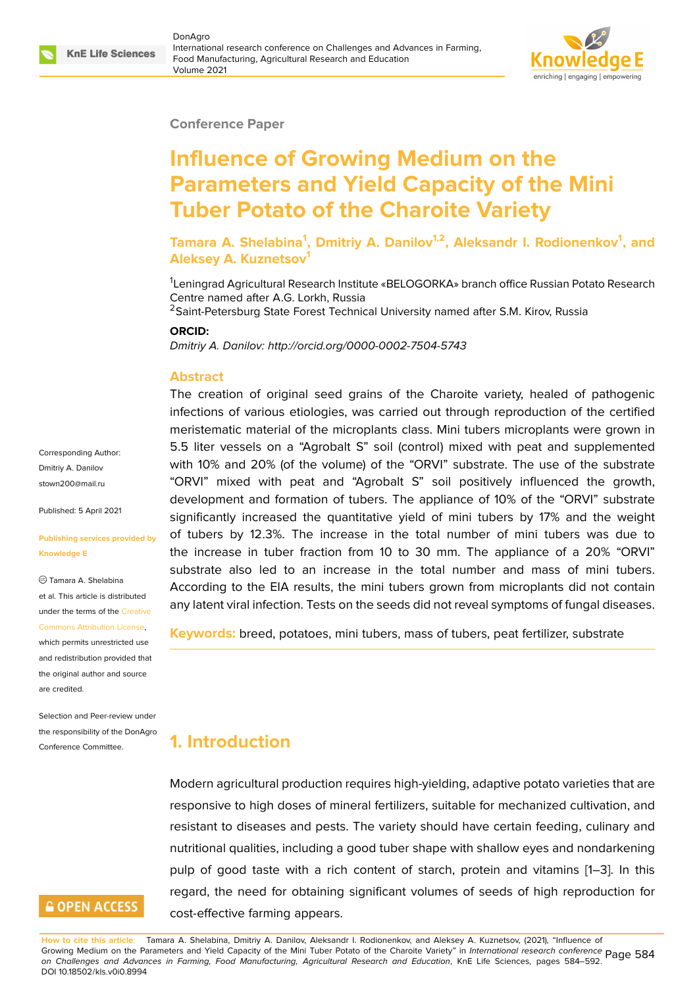#### **Conference Paper**

# **Influence of Growing Medium on the Parameters and Yield Capacity of the Mini Tuber Potato of the Charoite Variety**

**Tamara A. Shelabina<sup>1</sup> , Dmitriy A. Danilov1,2, Aleksandr I. Rodionenkov<sup>1</sup> , and Aleksey A. Kuznetsov<sup>1</sup>**

<sup>1</sup>Leningrad Agricultural Research Institute «BELOGORKA» branch office Russian Potato Research Centre named after A.G. Lorkh, Russia

<sup>2</sup>Saint-Petersburg State Forest Technical University named after S.M. Kirov, Russia

#### **ORCID:**

*Dmitriy A. Danilov: http://orcid.org/0000-0002-7504-5743*

#### **Abstract**

The creation of original seed grains of the Charoite variety, healed of pathogenic infections of various etiologies, was carried out through reproduction of the certified meristematic material of the microplants class. Mini tubers microplants were grown in 5.5 liter vessels on a "Agrobalt S" soil (control) mixed with peat and supplemented with 10% and 20% (of the volume) of the "ORVI" substrate. The use of the substrate "ORVI" mixed with peat and "Agrobalt S" soil positively influenced the growth, development and formation of tubers. The appliance of 10% of the "ORVI" substrate significantly increased the quantitative yield of mini tubers by 17% and the weight of tubers by 12.3%. The increase in the total number of mini tubers was due to the increase in tuber fraction from 10 to 30 mm. The appliance of a 20% "ORVI" substrate also led to an increase in the total number and mass of mini tubers. According to the EIA results, the mini tubers grown from microplants did not contain any latent viral infection. Tests on the seeds did not reveal symptoms of fungal diseases.

**Keywords:** breed, potatoes, mini tubers, mass of tubers, peat fertilizer, substrate

# **1. Introduction**

Modern agricultural production requires high-yielding, adaptive potato varieties that are responsive to high doses of mineral fertilizers, suitable for mechanized cultivation, and resistant to diseases and pests. The variety should have certain feeding, culinary and nutritional qualities, including a good tuber shape with shallow eyes and nondarkening pulp of good taste with a rich content of starch, protein and vitamins [1–3]. In this regard, the need for obtaining significant volumes of seeds of high reproduction for cost-effective farming appears.

Corresponding Author: Dmitriy A. Danilov stown200@mail.ru

Published: 5 April 2021

#### **[Publishing service](mailto:stown200@mail.ru)s provided by Knowledge E**

Tamara A. Shelabina et al. This article is distributed under the terms of the Creative Commons Attribution License,

which permits unrestricted use and redistribution provided that the original author and [source](https://creativecommons.org/licenses/by/4.0/) [are credited.](https://creativecommons.org/licenses/by/4.0/)

Selection and Peer-review under the responsibility of the DonAgro Conference Committee.

# **GOPEN ACCESS**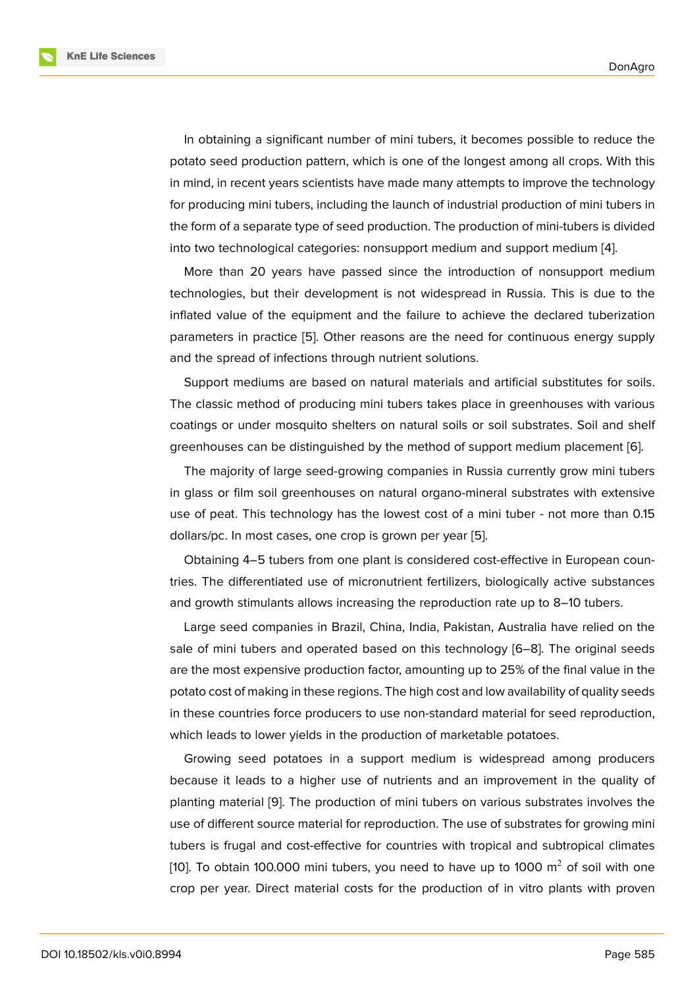In obtaining a significant number of mini tubers, it becomes possible to reduce the potato seed production pattern, which is one of the longest among all crops. With this in mind, in recent years scientists have made many attempts to improve the technology for producing mini tubers, including the launch of industrial production of mini tubers in the form of a separate type of seed production. The production of mini-tubers is divided into two technological categories: nonsupport medium and support medium [4].

More than 20 years have passed since the introduction of nonsupport medium technologies, but their development is not widespread in Russia. This is due to the inflated value of the equipment and the failure to achieve the declared tu[be](#page-7-0)rization parameters in practice [5]. Other reasons are the need for continuous energy supply and the spread of infections through nutrient solutions.

Support mediums are based on natural materials and artificial substitutes for soils. The classic method of [pro](#page-7-1)ducing mini tubers takes place in greenhouses with various coatings or under mosquito shelters on natural soils or soil substrates. Soil and shelf greenhouses can be distinguished by the method of support medium placement [6].

The majority of large seed-growing companies in Russia currently grow mini tubers in glass or film soil greenhouses on natural organo-mineral substrates with extensive use of peat. This technology has the lowest cost of a mini tuber - not more than [0](#page-7-2).15 dollars/pc. In most cases, one crop is grown per year [5].

Obtaining 4–5 tubers from one plant is considered cost-effective in European countries. The differentiated use of micronutrient fertilizers, biologically active substances and growth stimulants allows increasing the reproduc[tio](#page-7-1)n rate up to 8–10 tubers.

Large seed companies in Brazil, China, India, Pakistan, Australia have relied on the sale of mini tubers and operated based on this technology [6–8]. The original seeds are the most expensive production factor, amounting up to 25% of the final value in the potato cost of making in these regions. The high cost and low availability of quality seeds in these countries force producers to use non-standard mater[ia](#page-7-2)l [fo](#page-8-0)r seed reproduction, which leads to lower yields in the production of marketable potatoes.

Growing seed potatoes in a support medium is widespread among producers because it leads to a higher use of nutrients and an improvement in the quality of planting material [9]. The production of mini tubers on various substrates involves the use of different source material for reproduction. The use of substrates for growing mini tubers is frugal and cost-effective for countries with tropical and subtropical climates [10]. To obtain 10[0.0](#page-8-1)00 mini tubers, you need to have up to 1000  $\mathrm{m}^2$  of soil with one crop per year. Direct material costs for the production of in vitro plants with proven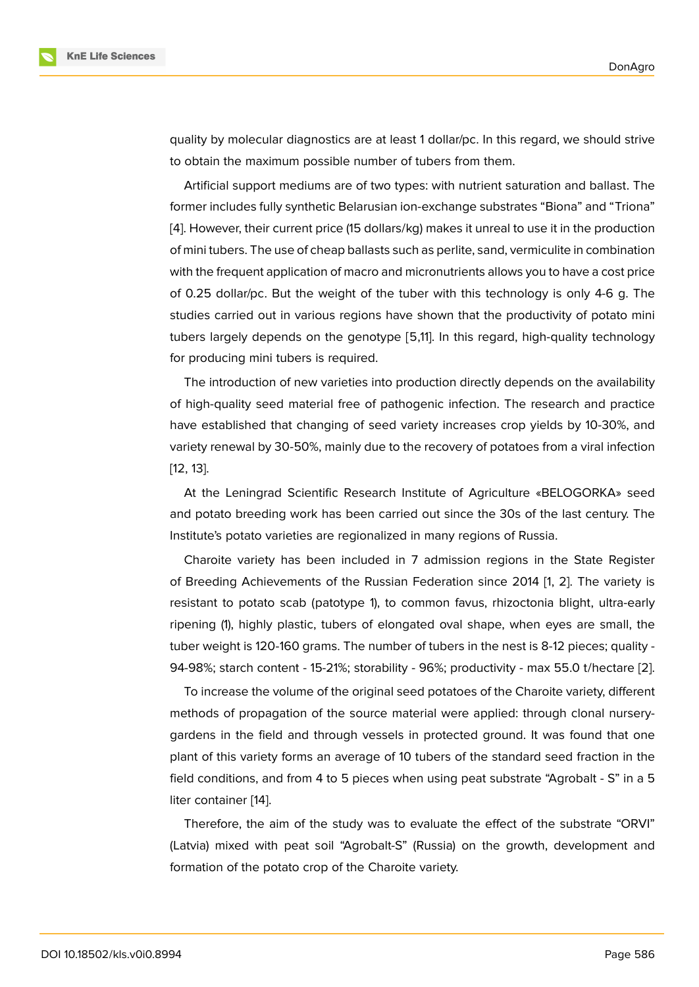quality by molecular diagnostics are at least 1 dollar/pc. In this regard, we should strive to obtain the maximum possible number of tubers from them.

Artificial support mediums are of two types: with nutrient saturation and ballast. The former includes fully synthetic Belarusian ion-exchange substrates "Biona" and "Triona" [4]. However, their current price (15 dollars/kg) makes it unreal to use it in the production of mini tubers. The use of cheap ballasts such as perlite, sand, vermiculite in combination with the frequent application of macro and micronutrients allows you to have a cost price [of](#page-7-0) 0.25 dollar/pc. But the weight of the tuber with this technology is only 4-6 g. The studies carried out in various regions have shown that the productivity of potato mini tubers largely depends on the genotype [5,11]. In this regard, high-quality technology for producing mini tubers is required.

The introduction of new varieties into production directly depends on the availability of high-quality seed material free of pathogenic infection. The research and practice have established that changing of seed variety increases crop yields by 10-30%, and variety renewal by 30-50%, mainly due to the recovery of potatoes from a viral infection [12, 13].

At the Leningrad Scientific Research Institute of Agriculture «BELOGORKA» seed and potato breeding work has been carried out since the 30s of the last century. The I[ns](#page-8-2)t[itu](#page-8-3)te's potato varieties are regionalized in many regions of Russia.

Charoite variety has been included in 7 admission regions in the State Register of Breeding Achievements of the Russian Federation since 2014 [1, 2]. The variety is resistant to potato scab (patotype 1), to common favus, rhizoctonia blight, ultra-early ripening (1), highly plastic, tubers of elongated oval shape, when eyes are small, the tuber weight is 120-160 grams. The number of tubers in the nest is [8-](#page-7-3)1[2](#page-7-4) pieces; quality - 94-98%; starch content - 15-21%; storability - 96%; productivity - max 55.0 t/hectare [2].

To increase the volume of the original seed potatoes of the Charoite variety, different methods of propagation of the source material were applied: through clonal nurserygardens in the field and through vessels in protected ground. It was found that o[ne](#page-7-4) plant of this variety forms an average of 10 tubers of the standard seed fraction in the field conditions, and from 4 to 5 pieces when using peat substrate "Agrobalt - S" in a 5 liter container [14].

Therefore, the aim of the study was to evaluate the effect of the substrate "ORVI" (Latvia) mixed with peat soil "Agrobalt-S" (Russia) on the growth, development and formation of th[e p](#page-8-4)otato crop of the Charoite variety.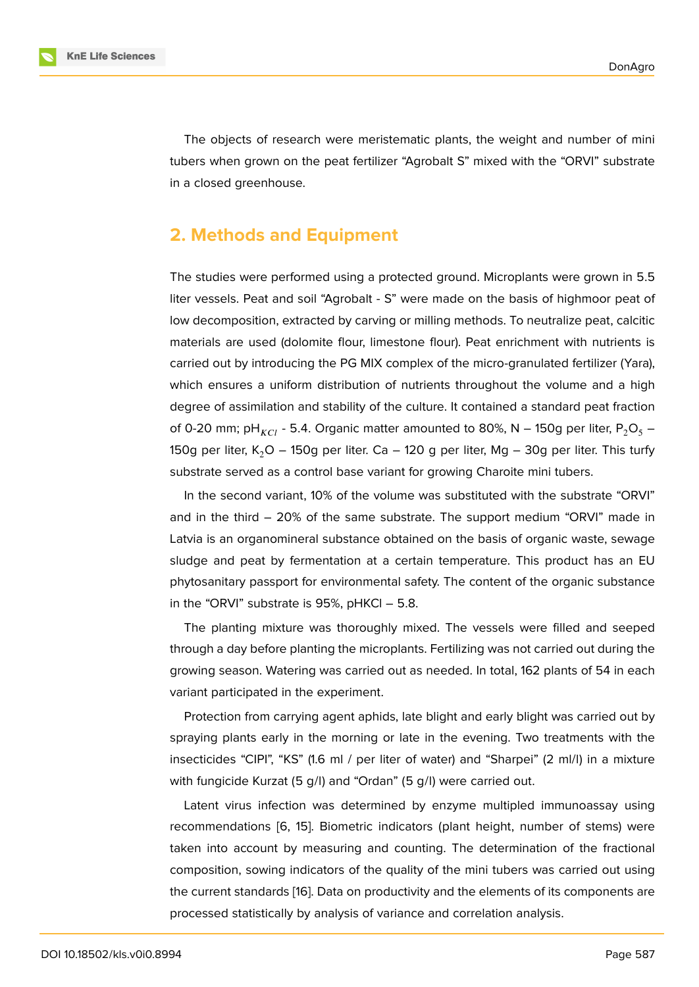The objects of research were meristematic plants, the weight and number of mini tubers when grown on the peat fertilizer "Agrobalt S" mixed with the "ORVI" substrate in a closed greenhouse.

#### **2. Methods and Equipment**

The studies were performed using a protected ground. Microplants were grown in 5.5 liter vessels. Peat and soil "Agrobalt - S" were made on the basis of highmoor peat of low decomposition, extracted by carving or milling methods. To neutralize peat, calcitic materials are used (dolomite flour, limestone flour). Peat enrichment with nutrients is carried out by introducing the PG MIX complex of the micro-granulated fertilizer (Yara), which ensures a uniform distribution of nutrients throughout the volume and a high degree of assimilation and stability of the culture. It contained a standard peat fraction of 0-20 mm; pH<sub>KCl</sub> - 5.4. Organic matter amounted to 80%, N – 150g per liter, P<sub>2</sub>O<sub>5</sub> – 150g per liter, K<sub>2</sub>O – 150g per liter. Ca – 120 g per liter, Mg – 30g per liter. This turfy substrate served as a control base variant for growing Charoite mini tubers.

In the second variant, 10% of the volume was substituted with the substrate "ORVI" and in the third – 20% of the same substrate. The support medium "ORVI" made in Latvia is an organomineral substance obtained on the basis of organic waste, sewage sludge and peat by fermentation at a certain temperature. This product has an EU phytosanitary passport for environmental safety. The content of the organic substance in the "ORVI" substrate is 95%, pHKCl – 5.8.

The planting mixture was thoroughly mixed. The vessels were filled and seeped through a day before planting the microplants. Fertilizing was not carried out during the growing season. Watering was carried out as needed. In total, 162 plants of 54 in each variant participated in the experiment.

Protection from carrying agent aphids, late blight and early blight was carried out by spraying plants early in the morning or late in the evening. Two treatments with the insecticides "CIPI", "KS" (1.6 ml / per liter of water) and "Sharpei" (2 ml/l) in a mixture with fungicide Kurzat (5 g/l) and "Ordan" (5 g/l) were carried out.

Latent virus infection was determined by enzyme multipled immunoassay using recommendations [6, 15]. Biometric indicators (plant height, number of stems) were taken into account by measuring and counting. The determination of the fractional composition, sowing indicators of the quality of the mini tubers was carried out using the current standar[ds](#page-7-2) [\[16\]](#page-8-5). Data on productivity and the elements of its components are processed statistically by analysis of variance and correlation analysis.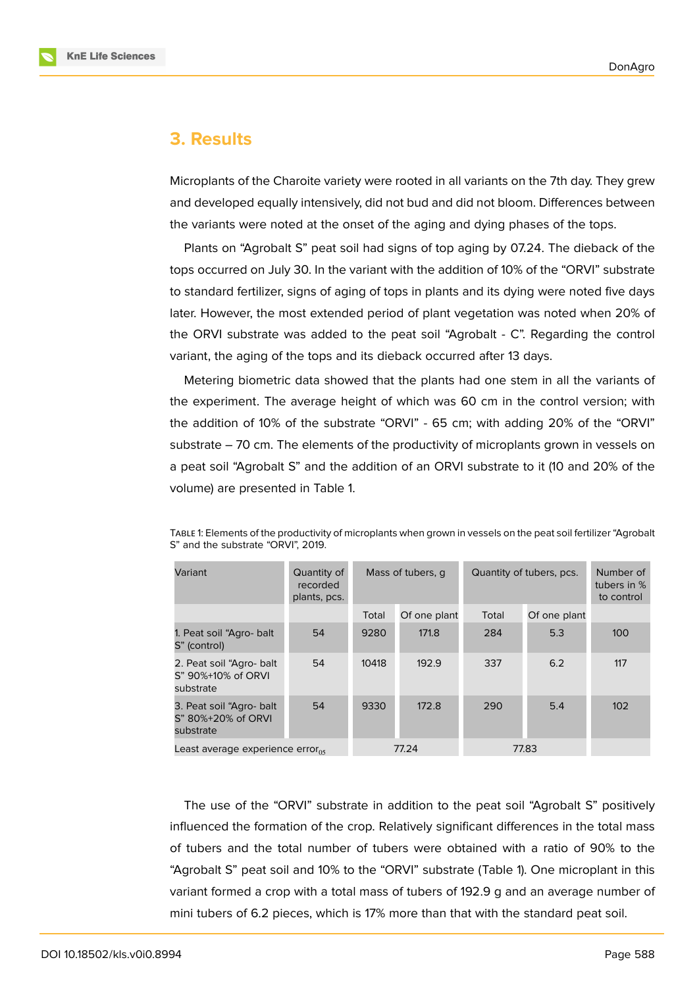

### **3. Results**

Microplants of the Charoite variety were rooted in all variants on the 7th day. They grew and developed equally intensively, did not bud and did not bloom. Differences between the variants were noted at the onset of the aging and dying phases of the tops.

Plants on "Agrobalt S" peat soil had signs of top aging by 07.24. The dieback of the tops occurred on July 30. In the variant with the addition of 10% of the "ORVI" substrate to standard fertilizer, signs of aging of tops in plants and its dying were noted five days later. However, the most extended period of plant vegetation was noted when 20% of the ORVI substrate was added to the peat soil "Agrobalt - C". Regarding the control variant, the aging of the tops and its dieback occurred after 13 days.

Metering biometric data showed that the plants had one stem in all the variants of the experiment. The average height of which was 60 cm in the control version; with the addition of 10% of the substrate "ORVI" - 65 cm; with adding 20% of the "ORVI" substrate – 70 cm. The elements of the productivity of microplants grown in vessels on a peat soil "Agrobalt S" and the addition of an ORVI substrate to it (10 and 20% of the volume) are presented in Table 1.

| Variant                                                      | Quantity of<br>recorded<br>plants, pcs. | Mass of tubers, q |              | Quantity of tubers, pcs. |              | Number of<br>tubers in %<br>to control |
|--------------------------------------------------------------|-----------------------------------------|-------------------|--------------|--------------------------|--------------|----------------------------------------|
|                                                              |                                         | Total             | Of one plant | Total                    | Of one plant |                                        |
| 1. Peat soil "Agro- balt<br>S" (control)                     | 54                                      | 9280              | 171.8        | 284                      | 5.3          | 100                                    |
| 2. Peat soil "Agro- balt"<br>S" 90%+10% of ORVI<br>substrate | 54                                      | 10418             | 192.9        | 337                      | 6.2          | 117                                    |
| 3. Peat soil "Agro- balt<br>S" 80%+20% of ORVI<br>substrate  | 54                                      | 9330              | 172.8        | 290                      | 5.4          | 102                                    |
| Least average experience error $_{05}$                       |                                         | 77.24             |              | 77.83                    |              |                                        |

TABLE 1: Elements of the productivity of microplants when grown in vessels on the peat soil fertilizer "Agrobalt S" and the substrate "ORVI", 2019.

The use of the "ORVI" substrate in addition to the peat soil "Agrobalt S" positively influenced the formation of the crop. Relatively significant differences in the total mass of tubers and the total number of tubers were obtained with a ratio of 90% to the "Agrobalt S" peat soil and 10% to the "ORVI" substrate (Table 1). One microplant in this variant formed a crop with a total mass of tubers of 192.9 g and an average number of mini tubers of 6.2 pieces, which is 17% more than that with the standard peat soil.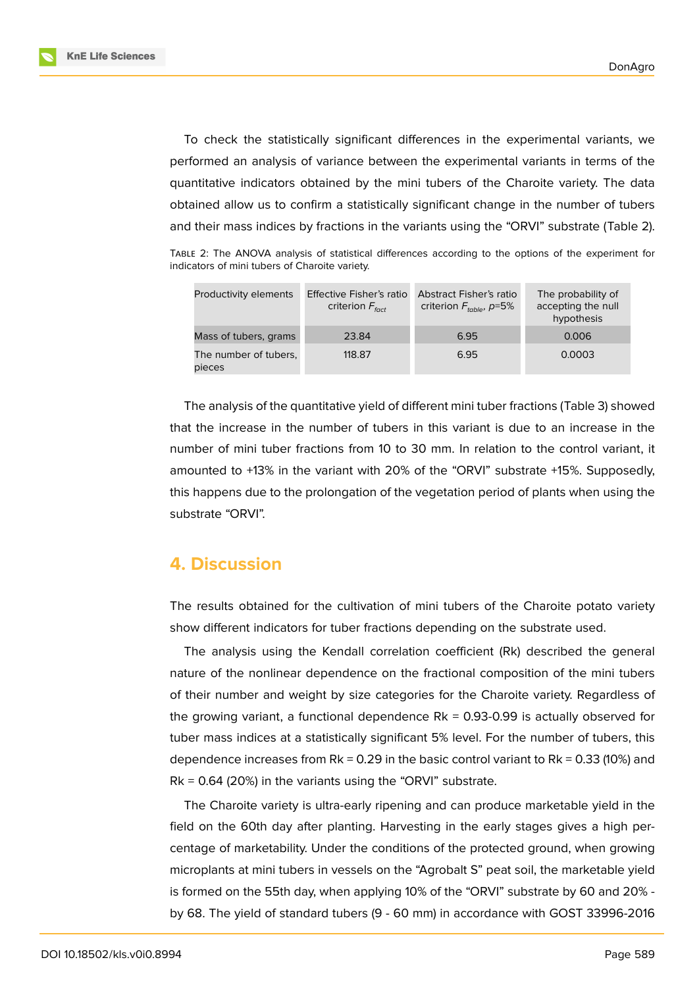**KnE Life Sciences** 



To check the statistically significant differences in the experimental variants, we performed an analysis of variance between the experimental variants in terms of the quantitative indicators obtained by the mini tubers of the Charoite variety. The data obtained allow us to confirm a statistically significant change in the number of tubers and their mass indices by fractions in the variants using the "ORVI" substrate (Table 2).

TABLE 2: The ANOVA analysis of statistical differences according to the options of the experiment for indicators of mini tubers of Charoite variety.

| Productivity elements           | Effective Fisher's ratio<br>criterion $F_{\text{fact}}$ | <b>Abstract Fisher's ratio</b><br>criterion $F_{table}$ , p=5% | The probability of<br>accepting the null<br>hypothesis |
|---------------------------------|---------------------------------------------------------|----------------------------------------------------------------|--------------------------------------------------------|
| Mass of tubers, grams           | 23.84                                                   | 6.95                                                           | 0.006                                                  |
| The number of tubers,<br>pieces | 118.87                                                  | 6.95                                                           | 0.0003                                                 |

The analysis of the quantitative yield of different mini tuber fractions (Table 3) showed that the increase in the number of tubers in this variant is due to an increase in the number of mini tuber fractions from 10 to 30 mm. In relation to the control variant, it amounted to +13% in the variant with 20% of the "ORVI" substrate +15%. Supposedly, this happens due to the prolongation of the vegetation period of plants when using the substrate "ORVI".

## **4. Discussion**

The results obtained for the cultivation of mini tubers of the Charoite potato variety show different indicators for tuber fractions depending on the substrate used.

The analysis using the Kendall correlation coefficient (Rk) described the general nature of the nonlinear dependence on the fractional composition of the mini tubers of their number and weight by size categories for the Charoite variety. Regardless of the growing variant, a functional dependence  $Rk = 0.93-0.99$  is actually observed for tuber mass indices at a statistically significant 5% level. For the number of tubers, this dependence increases from Rk = 0.29 in the basic control variant to Rk =  $0.33$  (10%) and  $Rk = 0.64$  (20%) in the variants using the "ORVI" substrate.

The Charoite variety is ultra-early ripening and can produce marketable yield in the field on the 60th day after planting. Harvesting in the early stages gives a high percentage of marketability. Under the conditions of the protected ground, when growing microplants at mini tubers in vessels on the "Agrobalt S" peat soil, the marketable yield is formed on the 55th day, when applying 10% of the "ORVI" substrate by 60 and 20% by 68. The yield of standard tubers (9 - 60 mm) in accordance with GOST 33996-2016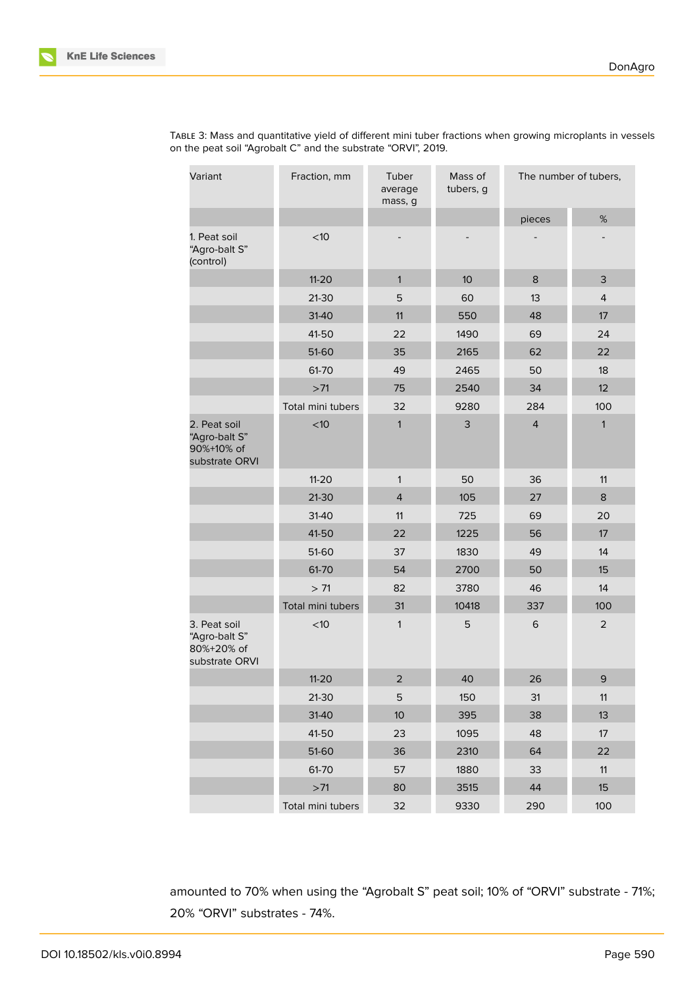

| Variant                                                       | Fraction, mm      | Tuber<br>average<br>mass, g | Mass of<br>tubers, g | The number of tubers, |                |
|---------------------------------------------------------------|-------------------|-----------------------------|----------------------|-----------------------|----------------|
|                                                               |                   |                             |                      | pieces                | %              |
| 1. Peat soil<br>"Agro-balt S"<br>(control)                    | < 10              |                             |                      |                       |                |
|                                                               | $11 - 20$         | $\mathbf{1}$                | 10                   | 8                     | 3              |
|                                                               | $21-30$           | 5                           | 60                   | 13                    | $\overline{4}$ |
|                                                               | 31-40             | 11                          | 550                  | 48                    | 17             |
|                                                               | 41-50             | 22                          | 1490                 | 69                    | 24             |
|                                                               | 51-60             | 35                          | 2165                 | 62                    | 22             |
|                                                               | 61-70             | 49                          | 2465                 | 50                    | 18             |
|                                                               | $>71$             | 75                          | 2540                 | 34                    | 12             |
|                                                               | Total mini tubers | 32                          | 9280                 | 284                   | 100            |
| 2. Peat soil<br>"Agro-balt S"<br>90%+10% of<br>substrate ORVI | $<$ 10            | $\mathbf{1}$                | 3                    | $\overline{4}$        | $\mathbf{1}$   |
|                                                               | $11 - 20$         | $\mathbf{1}$                | 50                   | 36                    | 11             |
|                                                               | $21-30$           | $\overline{4}$              | 105                  | 27                    | 8              |
|                                                               | 31-40             | 11                          | 725                  | 69                    | 20             |
|                                                               | 41-50             | 22                          | 1225                 | 56                    | 17             |
|                                                               | 51-60             | 37                          | 1830                 | 49                    | 14             |
|                                                               | 61-70             | 54                          | 2700                 | 50                    | 15             |
|                                                               | > 71              | 82                          | 3780                 | 46                    | 14             |
|                                                               | Total mini tubers | 31                          | 10418                | 337                   | 100            |
| 3. Peat soil<br>"Agro-balt S"<br>80%+20% of<br>substrate ORVI | $<$ 10            | $\mathbf{1}$                | 5                    | $\,$ 6                | $\overline{2}$ |
|                                                               | $11 - 20$         | $\overline{2}$              | 40                   | 26                    | 9              |
|                                                               | 21-30             | 5                           | 150                  | 31                    | 11             |
|                                                               | 31-40             | 10 <sup>°</sup>             | 395                  | 38                    | 13             |
|                                                               | 41-50             | 23                          | 1095                 | 48                    | 17             |
|                                                               | 51-60             | 36                          | 2310                 | 64                    | 22             |
|                                                               | 61-70             | 57                          | 1880                 | 33                    | 11             |
|                                                               | $>71$             | 80                          | 3515                 | 44                    | 15             |
|                                                               | Total mini tubers | 32                          | 9330                 | 290                   | 100            |

TABLE 3: Mass and quantitative yield of different mini tuber fractions when growing microplants in vessels on the peat soil "Agrobalt C" and the substrate "ORVI", 2019.

amounted to 70% when using the "Agrobalt S" peat soil; 10% of "ORVI" substrate - 71%; 20% "ORVI" substrates - 74%.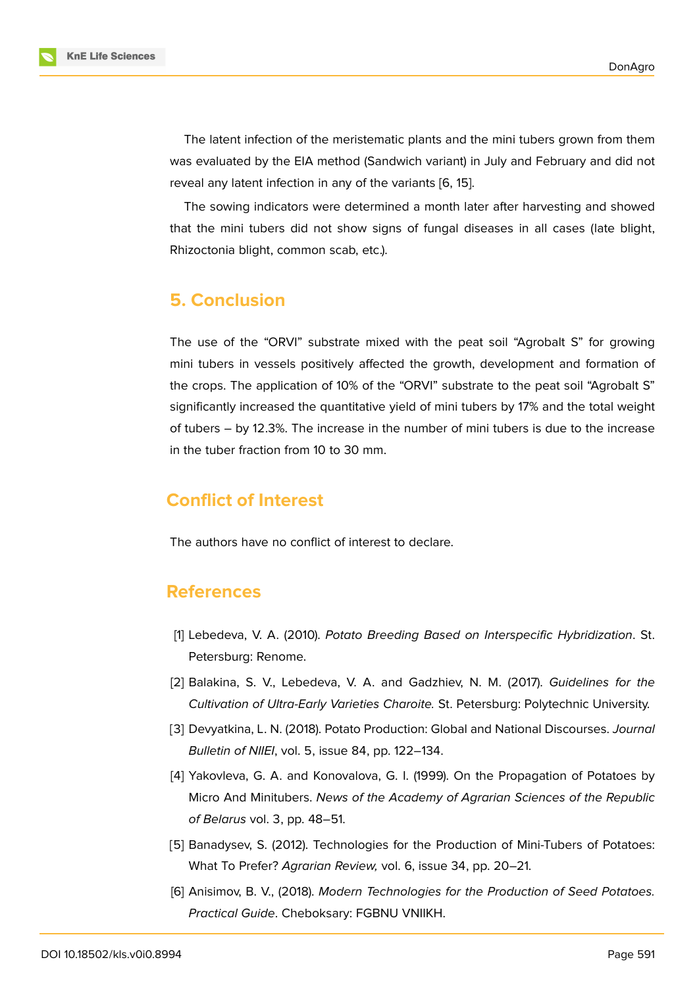The latent infection of the meristematic plants and the mini tubers grown from them was evaluated by the EIA method (Sandwich variant) in July and February and did not reveal any latent infection in any of the variants [6, 15].

The sowing indicators were determined a month later after harvesting and showed that the mini tubers did not show signs of fun[ga](#page-7-2)[l d](#page-8-5)iseases in all cases (late blight, Rhizoctonia blight, common scab, etc.).

## **5. Conclusion**

The use of the "ORVI" substrate mixed with the peat soil "Agrobalt S" for growing mini tubers in vessels positively affected the growth, development and formation of the crops. The application of 10% of the "ORVI" substrate to the peat soil "Agrobalt S" significantly increased the quantitative yield of mini tubers by 17% and the total weight of tubers – by 12.3%. The increase in the number of mini tubers is due to the increase in the tuber fraction from 10 to 30 mm.

## **Conflict of Interest**

The authors have no conflict of interest to declare.

## **References**

- [1] Lebedeva, V. A. (2010). *Potato Breeding Based on Interspecific Hybridization*. St. Petersburg: Renome.
- <span id="page-7-3"></span>[2] Balakina, S. V., Lebedeva, V. A. and Gadzhiev, N. M. (2017). *Guidelines for the Cultivation of Ultra-Early Varieties Charoite.* St. Petersburg: Polytechnic University.
- <span id="page-7-4"></span>[3] Devyatkina, L. N. (2018). Potato Production: Global and National Discourses. *Journal Bulletin of NIIEI*, vol. 5, issue 84, pp. 122–134.
- [4] Yakovleva, G. A. and Konovalova, G. I. (1999). On the Propagation of Potatoes by Micro And Minitubers. *News of the Academy of Agrarian Sciences of the Republic of Belarus* vol. 3, pp. 48–51.
- <span id="page-7-0"></span>[5] Banadysev, S. (2012). Technologies for the Production of Mini-Tubers of Potatoes: What To Prefer? *Agrarian Review,* vol. 6, issue 34, pp. 20–21.
- <span id="page-7-2"></span><span id="page-7-1"></span>[6] Anisimov, B. V., (2018). *Modern Technologies for the Production of Seed Potatoes. Practical Guide*. Cheboksary: FGBNU VNIIKH.